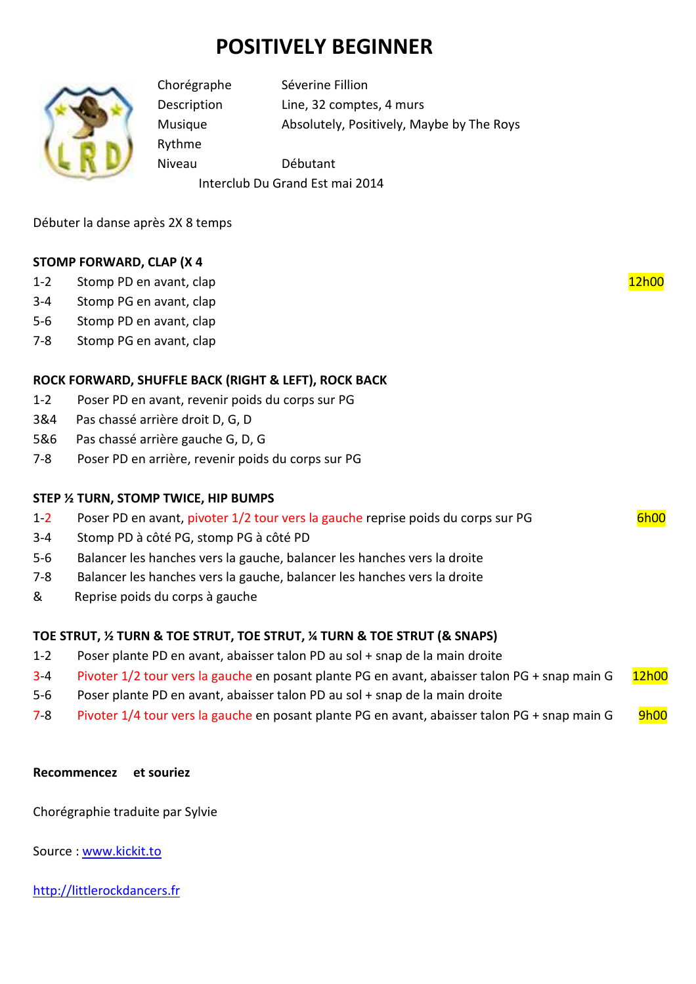# **POSITIVELY BEGINNER**



Rythme

Chorégraphe Séverine Fillion Description Line, 32 comptes, 4 murs Musique Absolutely, Positively, Maybe by The Roys

Niveau Débutant Interclub Du Grand Est mai 2014

Débuter la danse après 2X 8 temps

## **STOMP FORWARD, CLAP (X 4**

- 1-2 Stomp PD en avant, clap 12h00
- 3-4 Stomp PG en avant, clap
- 5-6 Stomp PD en avant, clap
- 7-8 Stomp PG en avant, clap

# **ROCK FORWARD, SHUFFLE BACK (RIGHT & LEFT), ROCK BACK**

- 1-2 Poser PD en avant, revenir poids du corps sur PG
- 3&4 Pas chassé arrière droit D, G, D
- 5&6 Pas chassé arrière gauche G, D, G
- 7-8 Poser PD en arrière, revenir poids du corps sur PG

### **STEP ½ TURN, STOMP TWICE, HIP BUMPS**

- 1-2 Poser PD en avant, pivoter 1/2 tour vers la gauche reprise poids du corps sur PG 6h00
- 3-4 Stomp PD à côté PG, stomp PG à côté PD
- 5-6 Balancer les hanches vers la gauche, balancer les hanches vers la droite
- 7-8 Balancer les hanches vers la gauche, balancer les hanches vers la droite
- & Reprise poids du corps à gauche

# **TOE STRUT, ½ TURN & TOE STRUT, TOE STRUT, ¼ TURN & TOE STRUT (& SNAPS)**

- 1-2 Poser plante PD en avant, abaisser talon PD au sol + snap de la main droite
- 3-4 Pivoter 1/2 tour vers la gauche en posant plante PG en avant, abaisser talon PG + snap main G 12h00
- 5-6 Poser plante PD en avant, abaisser talon PD au sol + snap de la main droite
- 7-8 Pivoter 1/4 tour vers la gauche en posant plante PG en avant, abaisser talon PG + snap main G 9h00

### **Recommencez et souriez**

Chorégraphie traduite par Sylvie

Source : www.kickit.to

http://littlerockdancers.fr